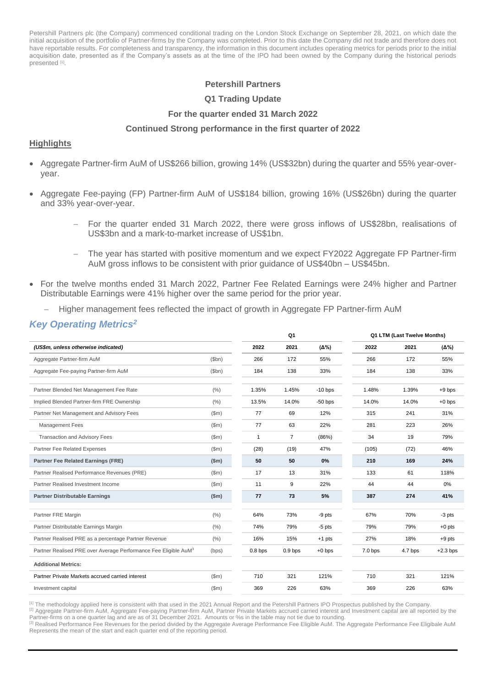Petershill Partners plc (the Company) commenced conditional trading on the London Stock Exchange on September 28, 2021, on which date the initial acquisition of the portfolio of Partner-firms by the Company was completed. Prior to this date the Company did not trade and therefore does not have reportable results. For completeness and transparency, the information in this document includes operating metrics for periods prior to the initial acquisition date, presented as if the Company's assets as at the time of the IPO had been owned by the Company during the historical periods presented [1].

## **Petershill Partners**

## **Q1 Trading Update**

## **For the quarter ended 31 March 2022**

## **Continued Strong performance in the first quarter of 2022**

## **Highlights**

- Aggregate Partner-firm AuM of US\$266 billion, growing 14% (US\$32bn) during the quarter and 55% year-overyear.
- Aggregate Fee-paying (FP) Partner-firm AuM of US\$184 billion, growing 16% (US\$26bn) during the quarter and 33% year-over-year.
	- For the quarter ended 31 March 2022, there were gross inflows of US\$28bn, realisations of US\$3bn and a mark-to-market increase of US\$1bn.
	- The year has started with positive momentum and we expect FY2022 Aggregate FP Partner-firm AuM gross inflows to be consistent with prior guidance of US\$40bn – US\$45bn.
- For the twelve months ended 31 March 2022, Partner Fee Related Earnings were 24% higher and Partner Distributable Earnings were 41% higher over the same period for the prior year.
	- Higher management fees reflected the impact of growth in Aggregate FP Partner-firm AuM

## *Key Operating Metrics<sup>2</sup>*

|                                                                             |       | Q <sub>1</sub>     |                    |              |                    | Q1 LTM (Last Twelve Months) |              |  |
|-----------------------------------------------------------------------------|-------|--------------------|--------------------|--------------|--------------------|-----------------------------|--------------|--|
| (US\$m, unless otherwise indicated)                                         |       | 2022               | 2021               | $(\Delta\%)$ | 2022               | 2021                        | $(\Delta\%)$ |  |
| Aggregate Partner-firm AuM                                                  | \$bn) | 266                | 172                | 55%          | 266                | 172                         | 55%          |  |
| Aggregate Fee-paying Partner-firm AuM                                       | \$bn) | 184                | 138                | 33%          | 184                | 138                         | 33%          |  |
| Partner Blended Net Management Fee Rate                                     | (%)   | 1.35%              | 1.45%              | $-10$ bps    | 1.48%              | 1.39%                       | $+9$ bps     |  |
| Implied Blended Partner-firm FRE Ownership                                  | (%)   | 13.5%              | 14.0%              | $-50$ bps    | 14.0%              | 14.0%                       | $+0$ bps     |  |
| Partner Net Management and Advisory Fees                                    | (Sm)  | 77                 | 69                 | 12%          | 315                | 241                         | 31%          |  |
| <b>Management Fees</b>                                                      | (Sm)  | 77                 | 63                 | 22%          | 281                | 223                         | 26%          |  |
| <b>Transaction and Advisory Fees</b>                                        | (Sm)  | $\mathbf{1}$       | $\overline{7}$     | (86%)        | 34                 | 19                          | 79%          |  |
| Partner Fee Related Expenses                                                | (Sm)  | (28)               | (19)               | 47%          | (105)              | (72)                        | 46%          |  |
| <b>Partner Fee Related Earnings (FRE)</b>                                   | \$m\$ | 50                 | 50                 | 0%           | 210                | 169                         | 24%          |  |
| Partner Realised Performance Revenues (PRE)                                 | \$m\$ | 17                 | 13                 | 31%          | 133                | 61                          | 118%         |  |
| Partner Realised Investment Income                                          | \$m\$ | 11                 | 9                  | 22%          | 44                 | 44                          | 0%           |  |
| <b>Partner Distributable Earnings</b>                                       | \$m\$ | 77                 | 73                 | 5%           | 387                | 274                         | 41%          |  |
| Partner FRE Margin                                                          | (%)   | 64%                | 73%                | $-9$ pts     | 67%                | 70%                         | -3 pts       |  |
| Partner Distributable Earnings Margin                                       | (%)   | 74%                | 79%                | $-5$ pts     | 79%                | 79%                         | $+0$ pts     |  |
| Partner Realised PRE as a percentage Partner Revenue                        | (% )  | 16%                | 15%                | $+1$ pts     | 27%                | 18%                         | $+9$ pts     |  |
| Partner Realised PRE over Average Performance Fee Eligible AuM <sup>3</sup> | (bps) | 0.8 <sub>bps</sub> | 0.9 <sub>bps</sub> | $+0$ bps     | 7.0 <sub>bps</sub> | 4.7 bps                     | $+2.3$ bps   |  |
| <b>Additional Metrics:</b>                                                  |       |                    |                    |              |                    |                             |              |  |
| Partner Private Markets accrued carried interest                            | (Sm)  | 710                | 321                | 121%         | 710                | 321                         | 121%         |  |
| Investment capital                                                          | (Sm)  | 369                | 226                | 63%          | 369                | 226                         | 63%          |  |

[1] The methodology applied here is consistent with that used in the 2021 Annual Report and the Petershill Partners IPO Prospectus published by the Company.

<sup>[2]</sup> Aggregate Partner-firm AuM, Aggregate Fee-paying Partner-firm AuM, Partner Private Markets accrued carried interest and Investment capital are all reported by the Partner-firms on a one quarter lag and are as of 31 December 2021. Amounts or %s in the table may not tie due to rounding

[3] Realised Performance Fee Revenues for the period divided by the Aggregate Average Performance Fee Eligible AuM. The Aggregate Performance Fee Eligibale AuM Represents the mean of the start and each quarter end of the reporting period.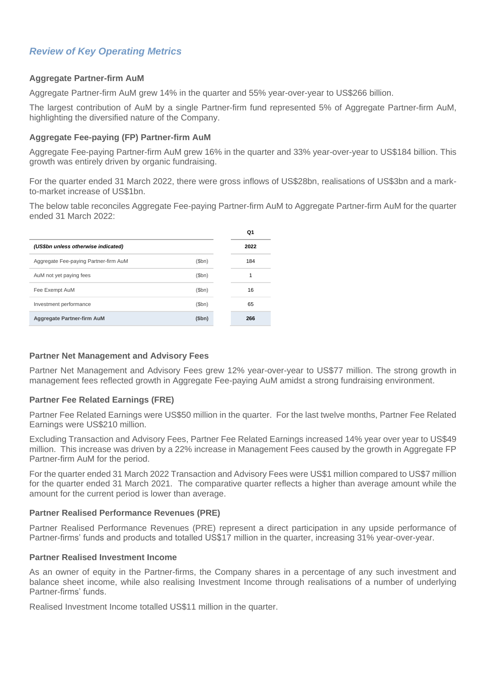# *Review of Key Operating Metrics*

## **Aggregate Partner-firm AuM**

Aggregate Partner-firm AuM grew 14% in the quarter and 55% year-over-year to US\$266 billion.

The largest contribution of AuM by a single Partner-firm fund represented 5% of Aggregate Partner-firm AuM, highlighting the diversified nature of the Company.

## **Aggregate Fee-paying (FP) Partner-firm AuM**

Aggregate Fee-paying Partner-firm AuM grew 16% in the quarter and 33% year-over-year to US\$184 billion. This growth was entirely driven by organic fundraising.

For the quarter ended 31 March 2022, there were gross inflows of US\$28bn, realisations of US\$3bn and a markto-market increase of US\$1bn.

The below table reconciles Aggregate Fee-paying Partner-firm AuM to Aggregate Partner-firm AuM for the quarter ended 31 March 2022:

|                                       |       | Q1   |
|---------------------------------------|-------|------|
| (US\$bn unless otherwise indicated)   |       | 2022 |
| Aggregate Fee-paying Partner-firm AuM | (Sbn) | 184  |
| AuM not yet paying fees               | \$bn) | 1    |
| Fee Exempt AuM                        | \$bh) | 16   |
| Investment performance                | \$bh) | 65   |
| Aggregate Partner-firm AuM            | (5bn) | 266  |

## **Partner Net Management and Advisory Fees**

Partner Net Management and Advisory Fees grew 12% year-over-year to US\$77 million. The strong growth in management fees reflected growth in Aggregate Fee-paying AuM amidst a strong fundraising environment.

## **Partner Fee Related Earnings (FRE)**

Partner Fee Related Earnings were US\$50 million in the quarter. For the last twelve months, Partner Fee Related Earnings were US\$210 million.

Excluding Transaction and Advisory Fees, Partner Fee Related Earnings increased 14% year over year to US\$49 million. This increase was driven by a 22% increase in Management Fees caused by the growth in Aggregate FP Partner-firm AuM for the period.

For the quarter ended 31 March 2022 Transaction and Advisory Fees were US\$1 million compared to US\$7 million for the quarter ended 31 March 2021. The comparative quarter reflects a higher than average amount while the amount for the current period is lower than average.

## **Partner Realised Performance Revenues (PRE)**

Partner Realised Performance Revenues (PRE) represent a direct participation in any upside performance of Partner-firms' funds and products and totalled US\$17 million in the quarter, increasing 31% year-over-year.

## **Partner Realised Investment Income**

As an owner of equity in the Partner-firms, the Company shares in a percentage of any such investment and balance sheet income, while also realising Investment Income through realisations of a number of underlying Partner-firms' funds.

Realised Investment Income totalled US\$11 million in the quarter.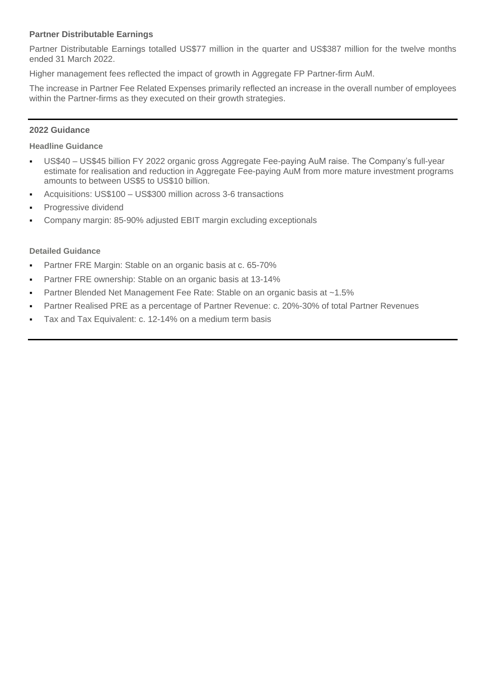## **Partner Distributable Earnings**

Partner Distributable Earnings totalled US\$77 million in the quarter and US\$387 million for the twelve months ended 31 March 2022.

Higher management fees reflected the impact of growth in Aggregate FP Partner-firm AuM.

The increase in Partner Fee Related Expenses primarily reflected an increase in the overall number of employees within the Partner-firms as they executed on their growth strategies.

## **2022 Guidance**

## **Headline Guidance**

- US\$40 US\$45 billion FY 2022 organic gross Aggregate Fee-paying AuM raise. The Company's full-year estimate for realisation and reduction in Aggregate Fee-paying AuM from more mature investment programs amounts to between US\$5 to US\$10 billion.
- Acquisitions: US\$100 US\$300 million across 3-6 transactions
- Progressive dividend
- Company margin: 85-90% adjusted EBIT margin excluding exceptionals

## **Detailed Guidance**

- Partner FRE Margin: Stable on an organic basis at c. 65-70%
- Partner FRE ownership: Stable on an organic basis at 13-14%
- Partner Blended Net Management Fee Rate: Stable on an organic basis at ~1.5%
- Partner Realised PRE as a percentage of Partner Revenue: c. 20%-30% of total Partner Revenues
- Tax and Tax Equivalent: c. 12-14% on a medium term basis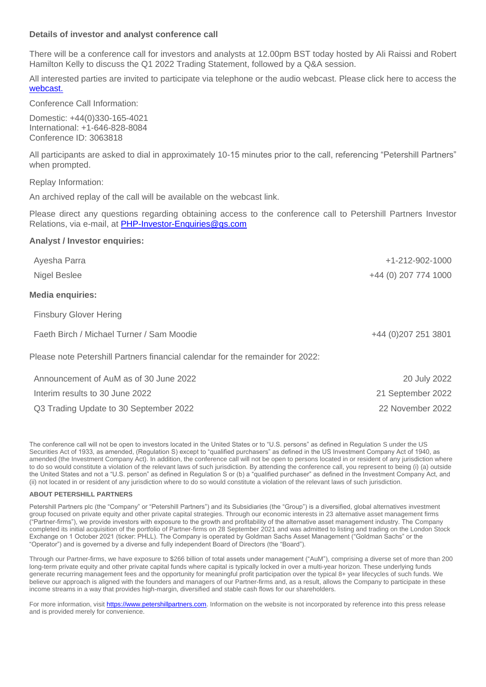## **Details of investor and analyst conference call**

There will be a conference call for investors and analysts at 12.00pm BST today hosted by Ali Raissi and Robert Hamilton Kelly to discuss the Q1 2022 Trading Statement, followed by a Q&A session.

All interested parties are invited to participate via telephone or the audio webcast. Please click here to access the [webcast.](https://event.webcasts.com/viewer/portal.jsp?ei=1509448&tp_key=4ccdad6376)

Conference Call Information:

Domestic: +44(0)330-165-4021 International: +1-646-828-8084 Conference ID: 3063818

All participants are asked to dial in approximately 10-15 minutes prior to the call, referencing "Petershill Partners" when prompted.

Replay Information:

An archived replay of the call will be available on the [webcast link.](https://event.webcasts.com/viewer/portal.jsp?ei=1509448&tp_key=4ccdad6376)

Please direct any questions regarding obtaining access to the conference call to Petershill Partners Investor Relations, via e-mail, at [PHP-Investor-Enquiries@gs.com](mailto:PHP-Investor-Enquiries@gs.com)

## **Analyst / Investor enquiries:**

| Ayesha Parra                                                                   | $+1 - 212 - 902 - 1000$ |
|--------------------------------------------------------------------------------|-------------------------|
| <b>Nigel Beslee</b>                                                            | +44 (0) 207 774 1000    |
| <b>Media enquiries:</b>                                                        |                         |
| <b>Finsbury Glover Hering</b>                                                  |                         |
| Faeth Birch / Michael Turner / Sam Moodie                                      | +44 (0) 207 251 3801    |
| Please note Petershill Partners financial calendar for the remainder for 2022: |                         |
| Announcement of AuM as of 30 June 2022                                         | 20 July 2022            |
| Interim results to 30 June 2022                                                | 21 September 2022       |
| Q3 Trading Update to 30 September 2022                                         | 22 November 2022        |

The conference call will not be open to investors located in the United States or to "U.S. persons" as defined in Regulation S under the US Securities Act of 1933, as amended, (Regulation S) except to "qualified purchasers" as defined in the US Investment Company Act of 1940, as amended (the Investment Company Act). In addition, the conference call will not be open to persons located in or resident of any jurisdiction where to do so would constitute a violation of the relevant laws of such jurisdiction. By attending the conference call, you represent to being (i) (a) outside the United States and not a "U.S. person" as defined in Regulation S or (b) a "qualified purchaser" as defined in the Investment Company Act, and (ii) not located in or resident of any jurisdiction where to do so would constitute a violation of the relevant laws of such jurisdiction.

### **ABOUT PETERSHILL PARTNERS**

Petershill Partners plc (the "Company" or "Petershill Partners") and its Subsidiaries (the "Group") is a diversified, global alternatives investment group focused on private equity and other private capital strategies. Through our economic interests in 23 alternative asset management firms ("Partner-firms"), we provide investors with exposure to the growth and profitability of the alternative asset management industry. The Company completed its initial acquisition of the portfolio of Partner-firms on 28 September 2021 and was admitted to listing and trading on the London Stock Exchange on 1 October 2021 (ticker: PHLL). The Company is operated by Goldman Sachs Asset Management ("Goldman Sachs" or the "Operator") and is governed by a diverse and fully independent Board of Directors (the "Board").

Through our Partner-firms, we have exposure to \$266 billion of total assets under management ("AuM"), comprising a diverse set of more than 200 long-term private equity and other private capital funds where capital is typically locked in over a multi-year horizon. These underlying funds generate recurring management fees and the opportunity for meaningful profit participation over the typical 8+ year lifecycles of such funds. We believe our approach is aligned with the founders and managers of our Partner-firms and, as a result, allows the Company to participate in these income streams in a way that provides high-margin, diversified and stable cash flows for our shareholders.

For more information, visi[t https://www.petershillpartners.com.](https://www.petershillpartners.com/) Information on the website is not incorporated by reference into this press release and is provided merely for convenience.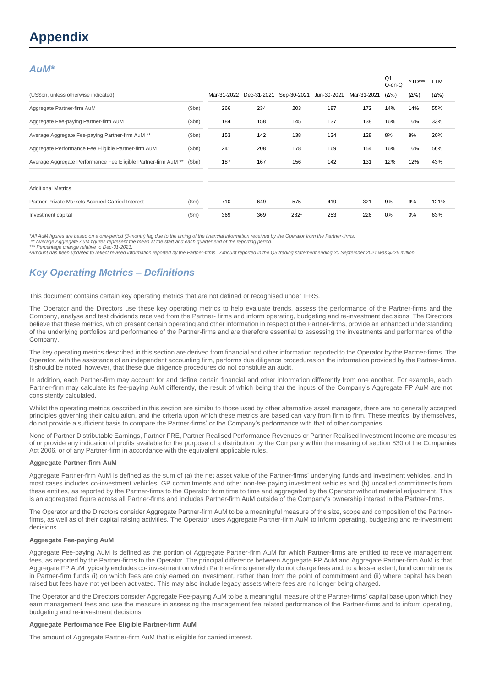# **Appendix**

## *AuM\**

|                                                                |       |             |             |             |             |             | Q <sub>1</sub><br>Q-on-Q | YTD***       | <b>LTM</b>   |
|----------------------------------------------------------------|-------|-------------|-------------|-------------|-------------|-------------|--------------------------|--------------|--------------|
| (US\$bn, unless otherwise indicated)                           |       | Mar-31-2022 | Dec-31-2021 | Sep-30-2021 | Jun-30-2021 | Mar-31-2021 | $(\Delta\%)$             | $(\Delta\%)$ | $(\Delta\%)$ |
| Aggregate Partner-firm AuM                                     | \$bn) | 266         | 234         | 203         | 187         | 172         | 14%                      | 14%          | 55%          |
| Aggregate Fee-paying Partner-firm AuM                          | \$bn) | 184         | 158         | 145         | 137         | 138         | 16%                      | 16%          | 33%          |
| Average Aggregate Fee-paying Partner-firm AuM **               | \$bn) | 153         | 142         | 138         | 134         | 128         | 8%                       | 8%           | 20%          |
| Aggregate Performance Fee Eligible Partner-firm AuM            | \$bn) | 241         | 208         | 178         | 169         | 154         | 16%                      | 16%          | 56%          |
| Average Aggregate Performance Fee Eligible Partner-firm AuM ** | \$bn) | 187         | 167         | 156         | 142         | 131         | 12%                      | 12%          | 43%          |
| <b>Additional Metrics</b>                                      |       |             |             |             |             |             |                          |              |              |
| Partner Private Markets Accrued Carried Interest               | \$m\$ | 710         | 649         | 575         | 419         | 321         | 9%                       | 9%           | 121%         |
| Investment capital                                             | \$m\$ | 369         | 369         | 2821        | 253         | 226         | 0%                       | 0%           | 63%          |
|                                                                |       |             |             |             |             |             |                          |              |              |

*\*All AuM figures are based on a one-period (3-month) lag due to the timing of the financial information received by the Operator from the Partner-firms.*

*\*\* Average Aggregate AuM figures represent the mean at the start and each quarter end of the reporting period. \*\*\* Percentage change relative to Dec-31-2021.*

*<sup>1</sup>Amount has been updated to reflect revised information reported by the Partner-firms. Amount reported in the Q3 trading statement ending 30 September 2021 was \$226 million.*

## *Key Operating Metrics – Definitions*

This document contains certain key operating metrics that are not defined or recognised under IFRS.

The Operator and the Directors use these key operating metrics to help evaluate trends, assess the performance of the Partner-firms and the Company, analyse and test dividends received from the Partner- firms and inform operating, budgeting and re-investment decisions. The Directors believe that these metrics, which present certain operating and other information in respect of the Partner-firms, provide an enhanced understanding of the underlying portfolios and performance of the Partner-firms and are therefore essential to assessing the investments and performance of the Company.

The key operating metrics described in this section are derived from financial and other information reported to the Operator by the Partner-firms. The Operator, with the assistance of an independent accounting firm, performs due diligence procedures on the information provided by the Partner-firms. It should be noted, however, that these due diligence procedures do not constitute an audit.

In addition, each Partner-firm may account for and define certain financial and other information differently from one another. For example, each Partner-firm may calculate its fee-paying AuM differently, the result of which being that the inputs of the Company's Aggregate FP AuM are not consistently calculated.

Whilst the operating metrics described in this section are similar to those used by other alternative asset managers, there are no generally accepted principles governing their calculation, and the criteria upon which these metrics are based can vary from firm to firm. These metrics, by themselves, do not provide a sufficient basis to compare the Partner-firms' or the Company's performance with that of other companies.

None of Partner Distributable Earnings, Partner FRE, Partner Realised Performance Revenues or Partner Realised Investment Income are measures of or provide any indication of profits available for the purpose of a distribution by the Company within the meaning of section 830 of the Companies Act 2006, or of any Partner-firm in accordance with the equivalent applicable rules.

### **Aggregate Partner-firm AuM**

Aggregate Partner-firm AuM is defined as the sum of (a) the net asset value of the Partner-firms' underlying funds and investment vehicles, and in most cases includes co-investment vehicles, GP commitments and other non-fee paying investment vehicles and (b) uncalled commitments from these entities, as reported by the Partner-firms to the Operator from time to time and aggregated by the Operator without material adjustment. This is an aggregated figure across all Partner-firms and includes Partner-firm AuM outside of the Company's ownership interest in the Partner-firms.

The Operator and the Directors consider Aggregate Partner-firm AuM to be a meaningful measure of the size, scope and composition of the Partnerfirms, as well as of their capital raising activities. The Operator uses Aggregate Partner-firm AuM to inform operating, budgeting and re-investment decisions.

### **Aggregate Fee-paying AuM**

Aggregate Fee-paying AuM is defined as the portion of Aggregate Partner-firm AuM for which Partner-firms are entitled to receive management fees, as reported by the Partner-firms to the Operator. The principal difference between Aggregate FP AuM and Aggregate Partner-firm AuM is that Aggregate FP AuM typically excludes co- investment on which Partner-firms generally do not charge fees and, to a lesser extent, fund commitments in Partner-firm funds (i) on which fees are only earned on investment, rather than from the point of commitment and (ii) where capital has been raised but fees have not yet been activated. This may also include legacy assets where fees are no longer being charged.

The Operator and the Directors consider Aggregate Fee-paying AuM to be a meaningful measure of the Partner-firms' capital base upon which they earn management fees and use the measure in assessing the management fee related performance of the Partner-firms and to inform operating, budgeting and re-investment decisions.

### **Aggregate Performance Fee Eligible Partner-firm AuM**

The amount of Aggregate Partner-firm AuM that is eligible for carried interest.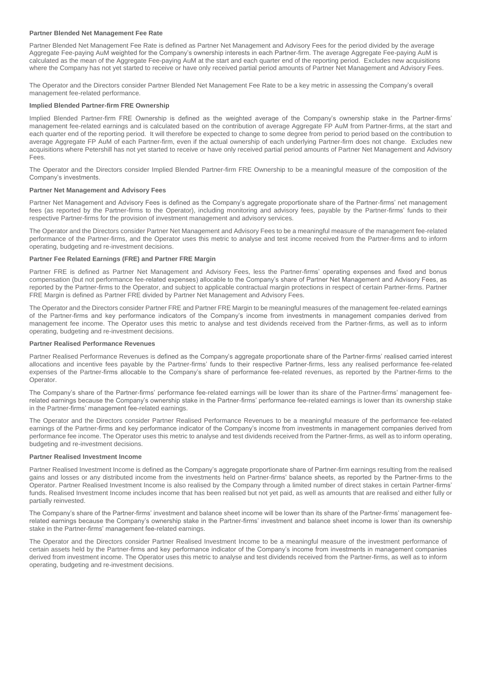### **Partner Blended Net Management Fee Rate**

Partner Blended Net Management Fee Rate is defined as Partner Net Management and Advisory Fees for the period divided by the average Aggregate Fee-paying AuM weighted for the Company's ownership interests in each Partner-firm. The average Aggregate Fee-paying AuM is calculated as the mean of the Aggregate Fee-paying AuM at the start and each quarter end of the reporting period. Excludes new acquisitions where the Company has not yet started to receive or have only received partial period amounts of Partner Net Management and Advisory Fees.

The Operator and the Directors consider Partner Blended Net Management Fee Rate to be a key metric in assessing the Company's overall management fee-related performance.

### **Implied Blended Partner-firm FRE Ownership**

Implied Blended Partner-firm FRE Ownership is defined as the weighted average of the Company's ownership stake in the Partner-firms' management fee-related earnings and is calculated based on the contribution of average Aggregate FP AuM from Partner-firms, at the start and each quarter end of the reporting period. It will therefore be expected to change to some degree from period to period based on the contribution to average Aggregate FP AuM of each Partner-firm, even if the actual ownership of each underlying Partner-firm does not change. Excludes new acquisitions where Petershill has not yet started to receive or have only received partial period amounts of Partner Net Management and Advisory Fees.

The Operator and the Directors consider Implied Blended Partner-firm FRE Ownership to be a meaningful measure of the composition of the Company's investments.

### **Partner Net Management and Advisory Fees**

Partner Net Management and Advisory Fees is defined as the Company's aggregate proportionate share of the Partner-firms' net management fees (as reported by the Partner-firms to the Operator), including monitoring and advisory fees, payable by the Partner-firms' funds to their respective Partner-firms for the provision of investment management and advisory services.

The Operator and the Directors consider Partner Net Management and Advisory Fees to be a meaningful measure of the management fee-related performance of the Partner-firms, and the Operator uses this metric to analyse and test income received from the Partner-firms and to inform operating, budgeting and re-investment decisions.

### **Partner Fee Related Earnings (FRE) and Partner FRE Margin**

Partner FRE is defined as Partner Net Management and Advisory Fees, less the Partner-firms' operating expenses and fixed and bonus compensation (but not performance fee-related expenses) allocable to the Company's share of Partner Net Management and Advisory Fees, as reported by the Partner-firms to the Operator, and subject to applicable contractual margin protections in respect of certain Partner-firms. Partner FRE Margin is defined as Partner FRE divided by Partner Net Management and Advisory Fees.

The Operator and the Directors consider Partner FRE and Partner FRE Margin to be meaningful measures of the management fee-related earnings of the Partner-firms and key performance indicators of the Company's income from investments in management companies derived from management fee income. The Operator uses this metric to analyse and test dividends received from the Partner-firms, as well as to inform operating, budgeting and re-investment decisions.

### **Partner Realised Performance Revenues**

Partner Realised Performance Revenues is defined as the Company's aggregate proportionate share of the Partner-firms' realised carried interest allocations and incentive fees payable by the Partner-firms' funds to their respective Partner-firms, less any realised performance fee-related expenses of the Partner-firms allocable to the Company's share of performance fee-related revenues, as reported by the Partner-firms to the Operator.

The Company's share of the Partner-firms' performance fee-related earnings will be lower than its share of the Partner-firms' management feerelated earnings because the Company's ownership stake in the Partner-firms' performance fee-related earnings is lower than its ownership stake in the Partner-firms' management fee-related earnings.

The Operator and the Directors consider Partner Realised Performance Revenues to be a meaningful measure of the performance fee-related earnings of the Partner-firms and key performance indicator of the Company's income from investments in management companies derived from performance fee income. The Operator uses this metric to analyse and test dividends received from the Partner-firms, as well as to inform operating, budgeting and re-investment decisions.

#### **Partner Realised Investment Income**

Partner Realised Investment Income is defined as the Company's aggregate proportionate share of Partner-firm earnings resulting from the realised gains and losses or any distributed income from the investments held on Partner-firms' balance sheets, as reported by the Partner-firms to the Operator. Partner Realised Investment Income is also realised by the Company through a limited number of direct stakes in certain Partner-firms' funds. Realised Investment Income includes income that has been realised but not yet paid, as well as amounts that are realised and either fully or partially reinvested.

The Company's share of the Partner-firms' investment and balance sheet income will be lower than its share of the Partner-firms' management feerelated earnings because the Company's ownership stake in the Partner-firms' investment and balance sheet income is lower than its ownership stake in the Partner-firms' management fee-related earnings.

The Operator and the Directors consider Partner Realised Investment Income to be a meaningful measure of the investment performance of certain assets held by the Partner-firms and key performance indicator of the Company's income from investments in management companies derived from investment income. The Operator uses this metric to analyse and test dividends received from the Partner-firms, as well as to inform operating, budgeting and re-investment decisions.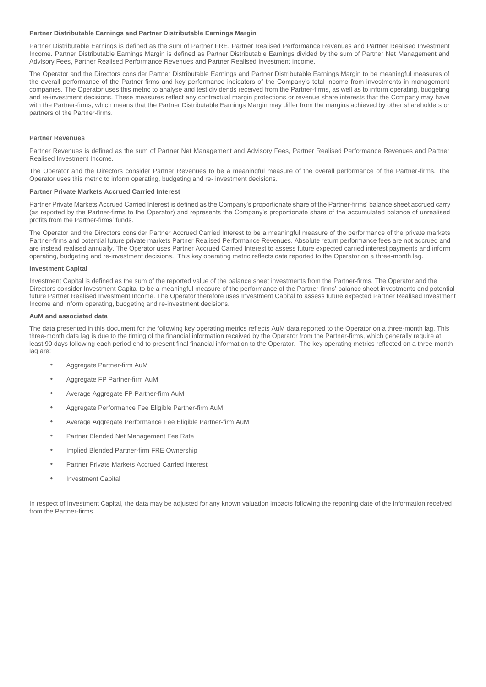### **Partner Distributable Earnings and Partner Distributable Earnings Margin**

Partner Distributable Earnings is defined as the sum of Partner FRE, Partner Realised Performance Revenues and Partner Realised Investment Income. Partner Distributable Earnings Margin is defined as Partner Distributable Earnings divided by the sum of Partner Net Management and Advisory Fees, Partner Realised Performance Revenues and Partner Realised Investment Income.

The Operator and the Directors consider Partner Distributable Earnings and Partner Distributable Earnings Margin to be meaningful measures of the overall performance of the Partner-firms and key performance indicators of the Company's total income from investments in management companies. The Operator uses this metric to analyse and test dividends received from the Partner-firms, as well as to inform operating, budgeting and re-investment decisions. These measures reflect any contractual margin protections or revenue share interests that the Company may have with the Partner-firms, which means that the Partner Distributable Earnings Margin may differ from the margins achieved by other shareholders or partners of the Partner-firms.

### **Partner Revenues**

Partner Revenues is defined as the sum of Partner Net Management and Advisory Fees, Partner Realised Performance Revenues and Partner Realised Investment Income.

The Operator and the Directors consider Partner Revenues to be a meaningful measure of the overall performance of the Partner-firms. The Operator uses this metric to inform operating, budgeting and re- investment decisions.

### **Partner Private Markets Accrued Carried Interest**

Partner Private Markets Accrued Carried Interest is defined as the Company's proportionate share of the Partner-firms' balance sheet accrued carry (as reported by the Partner-firms to the Operator) and represents the Company's proportionate share of the accumulated balance of unrealised profits from the Partner-firms' funds.

The Operator and the Directors consider Partner Accrued Carried Interest to be a meaningful measure of the performance of the private markets Partner-firms and potential future private markets Partner Realised Performance Revenues. Absolute return performance fees are not accrued and are instead realised annually. The Operator uses Partner Accrued Carried Interest to assess future expected carried interest payments and inform operating, budgeting and re-investment decisions. This key operating metric reflects data reported to the Operator on a three-month lag.

### **Investment Capital**

Investment Capital is defined as the sum of the reported value of the balance sheet investments from the Partner-firms. The Operator and the Directors consider Investment Capital to be a meaningful measure of the performance of the Partner-firms' balance sheet investments and potential future Partner Realised Investment Income. The Operator therefore uses Investment Capital to assess future expected Partner Realised Investment Income and inform operating, budgeting and re-investment decisions.

### **AuM and associated data**

The data presented in this document for the following key operating metrics reflects AuM data reported to the Operator on a three-month lag. This three-month data lag is due to the timing of the financial information received by the Operator from the Partner-firms, which generally require at least 90 days following each period end to present final financial information to the Operator. The key operating metrics reflected on a three-month lag are:

- Aggregate Partner-firm AuM
- Aggregate FP Partner-firm AuM
- Average Aggregate FP Partner-firm AuM
- Aggregate Performance Fee Eligible Partner-firm AuM
- Average Aggregate Performance Fee Eligible Partner-firm AuM
- Partner Blended Net Management Fee Rate
- Implied Blended Partner-firm FRE Ownership
- Partner Private Markets Accrued Carried Interest
- Investment Capital

In respect of Investment Capital, the data may be adjusted for any known valuation impacts following the reporting date of the information received from the Partner-firms.